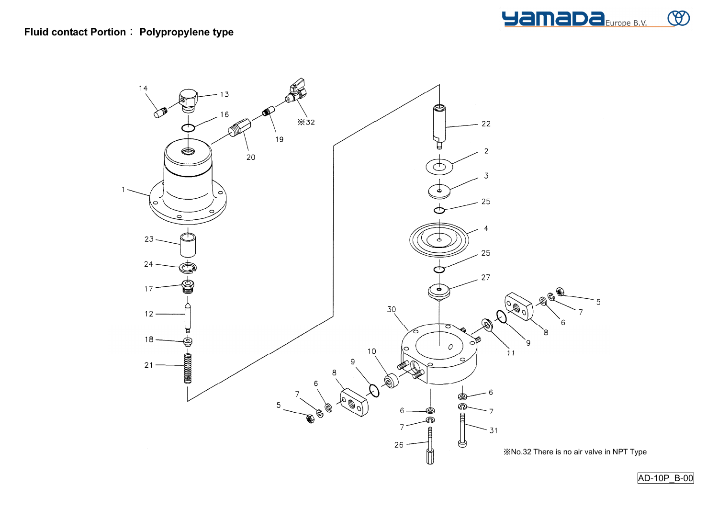